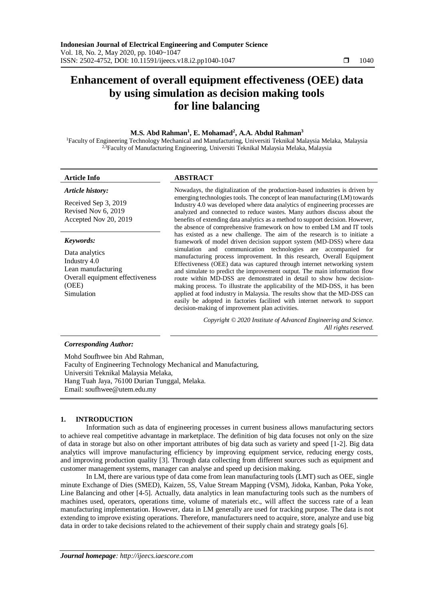# **Enhancement of overall equipment effectiveness (OEE) data by using simulation as decision making tools for line balancing**

# **M.S. Abd Rahman<sup>1</sup> , E. Mohamad<sup>2</sup> , A.A. Abdul Rahman<sup>3</sup>**

<sup>1</sup>Faculty of Engineering Technology Mechanical and Manufacturing, Universiti Teknikal Malaysia Melaka, Malaysia <sup>2,3</sup>Faculty of Manufacturing Engineering, Universiti Teknikal Malaysia Melaka, Malaysia

# **Article Info ABSTRACT**

| Article history:                                                                                               | Nowadays, the digitalization of the production-based industries is driven by<br>emerging technologies tools. The concept of lean manufacturing (LM) towards<br>Industry 4.0 was developed where data analytics of engineering processes are<br>analyzed and connected to reduce wastes. Many authors discuss about the<br>benefits of extending data analytics as a method to support decision. However,<br>the absence of comprehensive framework on how to embed LM and IT tools                                                                                                                                                                                   |  |  |  |  |  |
|----------------------------------------------------------------------------------------------------------------|----------------------------------------------------------------------------------------------------------------------------------------------------------------------------------------------------------------------------------------------------------------------------------------------------------------------------------------------------------------------------------------------------------------------------------------------------------------------------------------------------------------------------------------------------------------------------------------------------------------------------------------------------------------------|--|--|--|--|--|
| Received Sep 3, 2019<br>Revised Nov 6, 2019<br>Accepted Nov 20, 2019                                           |                                                                                                                                                                                                                                                                                                                                                                                                                                                                                                                                                                                                                                                                      |  |  |  |  |  |
| Keywords:                                                                                                      | has existed as a new challenge. The aim of the research is to initiate a<br>framework of model driven decision support system (MD-DSS) where data                                                                                                                                                                                                                                                                                                                                                                                                                                                                                                                    |  |  |  |  |  |
| Data analytics<br>Industry 4.0<br>Lean manufacturing<br>Overall equipment effectiveness<br>(OEE)<br>Simulation | simulation and communication technologies are accompanied for<br>manufacturing process improvement. In this research, Overall Equipment<br>Effectiveness (OEE) data was captured through internet networking system<br>and simulate to predict the improvement output. The main information flow<br>route within MD-DSS are demonstrated in detail to show how decision-<br>making process. To illustrate the applicability of the MD-DSS, it has been<br>applied at food industry in Malaysia. The results show that the MD-DSS can<br>easily be adopted in factories facilited with internet network to support<br>decision-making of improvement plan activities. |  |  |  |  |  |
|                                                                                                                | Copyright © 2020 Institute of Advanced Engineering and Science.                                                                                                                                                                                                                                                                                                                                                                                                                                                                                                                                                                                                      |  |  |  |  |  |

*All rights reserved.*

# *Corresponding Author:*

Mohd Soufhwee bin Abd Rahman, Faculty of Engineering Technology Mechanical and Manufacturing, Universiti Teknikal Malaysia Melaka, Hang Tuah Jaya, 76100 Durian Tunggal, Melaka. Email: soufhwee@utem.edu.my

### **1. INTRODUCTION**

Information such as data of engineering processes in current business allows manufacturing sectors to achieve real competitive advantage in marketplace. The definition of big data focuses not only on the size of data in storage but also on other important attributes of big data such as variety and speed [1-2]. Big data analytics will improve manufacturing efficiency by improving equipment service, reducing energy costs, and improving production quality [3]. Through data collecting from different sources such as equipment and customer management systems, manager can analyse and speed up decision making.

In LM, there are various type of data come from lean manufacturing tools (LMT) such as OEE, single minute Exchange of Dies (SMED), Kaizen, 5S, Value Stream Mapping (VSM), Jidoka, Kanban, Poka Yoke, Line Balancing and other [4-5]. Actually, data analytics in lean manufacturing tools such as the numbers of machines used, operators, operations time, volume of materials etc., will affect the success rate of a lean manufacturing implementation. However, data in LM generally are used for tracking purpose. The data is not extending to improve existing operations. Therefore, manufacturers need to acquire, store, analyze and use big data in order to take decisions related to the achievement of their supply chain and strategy goals [6].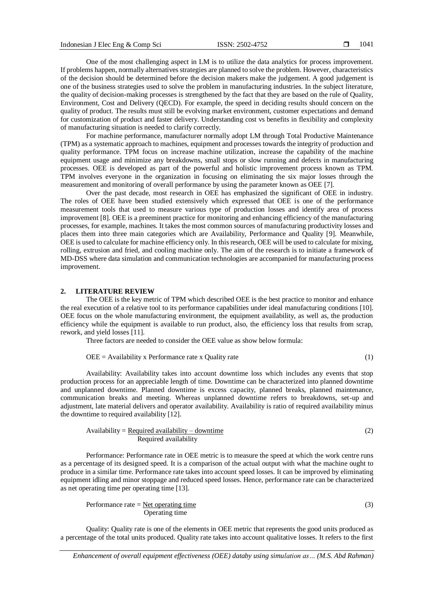One of the most challenging aspect in LM is to utilize the data analytics for process improvement. If problems happen, normally alternatives strategies are planned to solve the problem. However, characteristics of the decision should be determined before the decision makers make the judgement. A good judgement is one of the business strategies used to solve the problem in manufacturing industries. In the subject literature, the quality of decision-making processes is strengthened by the fact that they are based on the rule of Quality, Environment, Cost and Delivery (QECD). For example, the speed in deciding results should concern on the quality of product. The results must still be evolving market environment, customer expectations and demand for customization of product and faster delivery. Understanding cost vs benefits in flexibility and complexity of manufacturing situation is needed to clarify correctly.

For machine performance, manufacturer normally adopt LM through Total Productive Maintenance (TPM) as a systematic approach to machines, equipment and processes towards the integrity of production and quality performance. TPM focus on increase machine utilization, increase the capability of the machine equipment usage and minimize any breakdowns, small stops or slow running and defects in manufacturing processes. OEE is developed as part of the powerful and holistic improvement process known as TPM. TPM involves everyone in the organization in focusing on eliminating the six major losses through the measurement and monitoring of overall performance by using the parameter known as OEE [7].

Over the past decade, most research in OEE has emphasized the significant of OEE in industry. The roles of OEE have been studied extensively which expressed that OEE is one of the performance measurement tools that used to measure various type of production losses and identify area of process improvement [8]. OEE is a preeminent practice for monitoring and enhancing efficiency of the manufacturing processes, for example, machines. It takes the most common sources of manufacturing productivity losses and places them into three main categories which are Availability, Performance and Quality [9]. Meanwhile, OEE is used to calculate for machine efficiency only. In this research, OEE will be used to calculate for mixing, rolling, extrusion and fried, and cooling machine only. The aim of the research is to initiate a framework of MD-DSS where data simulation and communication technologies are accompanied for manufacturing process improvement.

#### **2. LITERATURE REVIEW**

The OEE is the key metric of TPM which described OEE is the best practice to monitor and enhance the real execution of a relative tool to its performance capabilities under ideal manufacturing conditions [10]. OEE focus on the whole manufacturing environment, the equipment availability, as well as, the production efficiency while the equipment is available to run product, also, the efficiency loss that results from scrap, rework, and yield losses [11].

Three factors are needed to consider the OEE value as show below formula:

$$
OEE = \text{Availableility x Performance rate} \times \text{Quality rate} \tag{1}
$$

Availability: Availability takes into account downtime loss which includes any events that stop production process for an appreciable length of time. Downtime can be characterized into planned downtime and unplanned downtime. Planned downtime is excess capacity, planned breaks, planned maintenance, communication breaks and meeting. Whereas unplanned downtime refers to breakdowns, set-up and adjustment, late material delivers and operator availability. Availability is ratio of required availability minus the downtime to required availability [12].

$$
Availableility = Required availability – downtime \nRequired availability
$$
 (2)

Performance: Performance rate in OEE metric is to measure the speed at which the work centre runs as a percentage of its designed speed. It is a comparison of the actual output with what the machine ought to produce in a similar time. Performance rate takes into account speed losses. It can be improved by eliminating equipment idling and minor stoppage and reduced speed losses. Hence, performance rate can be characterized as net operating time per operating time [13].

Performance rate  $=$  <u>Net operating time</u> (3) Operating time

Quality: Quality rate is one of the elements in OEE metric that represents the good units produced as a percentage of the total units produced. Quality rate takes into account qualitative losses. It refers to the first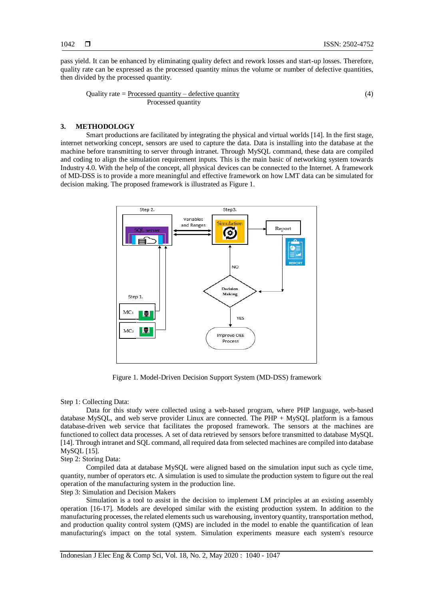pass yield. It can be enhanced by eliminating quality defect and rework losses and start-up losses. Therefore, quality rate can be expressed as the processed quantity minus the volume or number of defective quantities, then divided by the processed quantity.

Quality rate = 
$$
\frac{\text{Processed quantity} - \text{defective quantity}}{\text{Processed quantity}}
$$

\n(4)

# **3. METHODOLOGY**

Smart productions are facilitated by integrating the physical and virtual worlds [14]. In the first stage, internet networking concept, sensors are used to capture the data. Data is installing into the database at the machine before transmitting to server through intranet. Through MySQL command, these data are compiled and coding to align the simulation requirement inputs. This is the main basic of networking system towards Industry 4.0. With the help of the concept, all physical devices can be connected to the Internet. A framework of MD-DSS is to provide a more meaningful and effective framework on how LMT data can be simulated for decision making. The proposed framework is illustrated as Figure 1.



Figure 1. Model-Driven Decision Support System (MD-DSS) framework

# Step 1: Collecting Data:

Data for this study were collected using a web-based program, where PHP language, web-based database MySQL, and web serve provider Linux are connected. The PHP + MySQL platform is a famous database-driven web service that facilitates the proposed framework. The sensors at the machines are functioned to collect data processes. A set of data retrieved by sensors before transmitted to database MySQL [14]. Through intranet and SQL command, all required data from selected machines are compiled into database MySQL [15].

# Step 2: Storing Data:

Compiled data at database MySQL were aligned based on the simulation input such as cycle time, quantity, number of operators etc. A simulation is used to simulate the production system to figure out the real operation of the manufacturing system in the production line.

Step 3: Simulation and Decision Makers

Simulation is a tool to assist in the decision to implement LM principles at an existing assembly operation [16-17]. Models are developed similar with the existing production system. In addition to the manufacturing processes, the related elements such us warehousing, inventory quantity, transportation method, and production quality control system (QMS) are included in the model to enable the quantification of lean manufacturing's impact on the total system. Simulation experiments measure each system's resource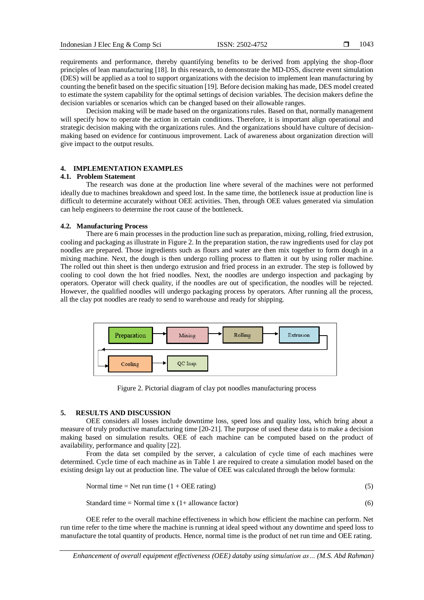requirements and performance, thereby quantifying benefits to be derived from applying the shop-floor principles of lean manufacturing [18]. In this research, to demonstrate the MD-DSS, discrete event simulation (DES) will be applied as a tool to support organizations with the decision to implement lean manufacturing by counting the benefit based on the specific situation [19]. Before decision making has made, DES model created to estimate the system capability for the optimal settings of decision variables. The decision makers define the decision variables or scenarios which can be changed based on their allowable ranges.

Decision making will be made based on the organizations rules. Based on that, normally management will specify how to operate the action in certain conditions. Therefore, it is important align operational and strategic decision making with the organizations rules. And the organizations should have culture of decisionmaking based on evidence for continuous improvement. Lack of awareness about organization direction will give impact to the output results.

# **4. IMPLEMENTATION EXAMPLES**

# **4.1. Problem Statement**

The research was done at the production line where several of the machines were not performed ideally due to machines breakdown and speed lost. In the same time, the bottleneck issue at production line is difficult to determine accurately without OEE activities. Then, through OEE values generated via simulation can help engineers to determine the root cause of the bottleneck.

# **4.2. Manufacturing Process**

There are 6 main processes in the production line such as preparation, mixing, rolling, fried extrusion, cooling and packaging as illustrate in Figure 2. In the preparation station, the raw ingredients used for clay pot noodles are prepared. Those ingredients such as flours and water are then mix together to form dough in a mixing machine. Next, the dough is then undergo rolling process to flatten it out by using roller machine. The rolled out thin sheet is then undergo extrusion and fried process in an extruder. The step is followed by cooling to cool down the hot fried noodles. Next, the noodles are undergo inspection and packaging by operators. Operator will check quality, if the noodles are out of specification, the noodles will be rejected. However, the qualified noodles will undergo packaging process by operators. After running all the process, all the clay pot noodles are ready to send to warehouse and ready for shipping.



Figure 2. Pictorial diagram of clay pot noodles manufacturing process

#### **5. RESULTS AND DISCUSSION**

OEE considers all losses include downtime loss, speed loss and quality loss, which bring about a measure of truly productive manufacturing time [20-21]. The purpose of used these data is to make a decision making based on simulation results. OEE of each machine can be computed based on the product of availability, performance and quality [22].

From the data set compiled by the server, a calculation of cycle time of each machines were determined. Cycle time of each machine as in Table 1 are required to create a simulation model based on the existing design lay out at production line. The value of OEE was calculated through the below formula:

Normal time = Net run time 
$$
(1 + OEE
$$
 rating) (5)

Standard time = Normal time  $x(1+$  allowance factor) (6)

OEE refer to the overall machine effectiveness in which how efficient the machine can perform. Net run time refer to the time where the machine is running at ideal speed without any downtime and speed loss to manufacture the total quantity of products. Hence, normal time is the product of net run time and OEE rating.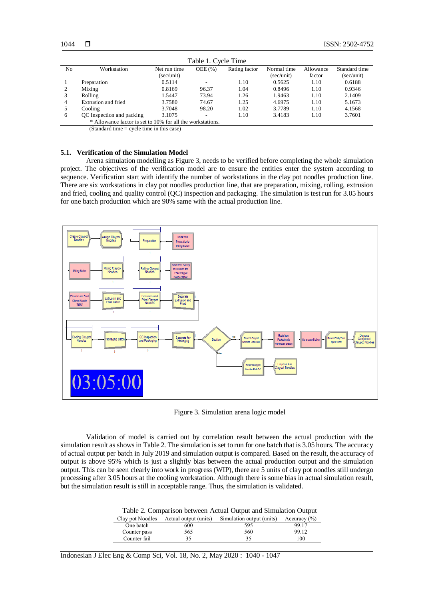| Table 1. Cycle Time                                        |                                                                                                      |              |        |               |             |           |               |  |
|------------------------------------------------------------|------------------------------------------------------------------------------------------------------|--------------|--------|---------------|-------------|-----------|---------------|--|
| No                                                         | Workstation                                                                                          | Net run time | OEE(%) | Rating factor | Normal time | Allowance | Standard time |  |
|                                                            |                                                                                                      | (sec/unit)   |        |               | (sec/unit)  | factor    | (sec/unit)    |  |
|                                                            | Preparation                                                                                          | 0.5114       |        | 1.10          | 0.5625      | 1.10      | 0.6188        |  |
|                                                            | Mixing                                                                                               | 0.8169       | 96.37  | 1.04          | 0.8496      | 1.10      | 0.9346        |  |
|                                                            | Rolling                                                                                              | 1.5447       | 73.94  | 1.26          | 1.9463      | 1.10      | 2.1409        |  |
| 4                                                          | Extrusion and fried                                                                                  | 3.7580       | 74.67  | 1.25          | 4.6975      | 1.10      | 5.1673        |  |
|                                                            | Cooling                                                                                              | 3.7048       | 98.20  | 1.02          | 3.7789      | 1.10      | 4.1568        |  |
| 6                                                          | QC Inspection and packing                                                                            | 3.1075       | ۰.     | 1.10          | 3.4183      | 1.10      | 3.7601        |  |
| * Allowance factor is set to 10% for all the workstations. |                                                                                                      |              |        |               |             |           |               |  |
|                                                            | $\mathcal{L}(\mathbf{C})$ and $\mathbf{C}$ and $\mathbf{C}$ are contacted in the second $\mathbf{C}$ |              |        |               |             |           |               |  |

(Standard time = cycle time in this case)

# **5.1. Verification of the Simulation Model**

Arena simulation modelling as Figure 3, needs to be verified before completing the whole simulation project. The objectives of the verification model are to ensure the entities enter the system according to sequence. Verification start with identify the number of workstations in the clay pot noodles production line. There are six workstations in clay pot noodles production line, that are preparation, mixing, rolling, extrusion and fried, cooling and quality control (QC) inspection and packaging. The simulation is test run for 3.05 hours for one batch production which are 90% same with the actual production line.



Figure 3. Simulation arena logic model

Validation of model is carried out by correlation result between the actual production with the simulation result as shows in Table 2. The simulation is set to run for one batch that is 3.05 hours. The accuracy of actual output per batch in July 2019 and simulation output is compared. Based on the result, the accuracy of output is above 95% which is just a slightly bias between the actual production output and the simulation output. This can be seen clearly into work in progress (WIP), there are 5 units of clay pot noodles still undergo processing after 3.05 hours at the cooling workstation. Although there is some bias in actual simulation result, but the simulation result is still in acceptable range. Thus, the simulation is validated.

| Table 2. Comparison between Actual Output and Simulation Output |                                        |                           |                  |  |  |  |  |  |
|-----------------------------------------------------------------|----------------------------------------|---------------------------|------------------|--|--|--|--|--|
|                                                                 | Clay pot Noodles Actual output (units) | Simulation output (units) | Accuracy $(\% )$ |  |  |  |  |  |
| One batch                                                       | 600                                    | 595                       | 99.17            |  |  |  |  |  |
| Counter pass                                                    | 565                                    | 560                       | 99.12            |  |  |  |  |  |
| Counter fail                                                    | 35                                     | 35                        | 100              |  |  |  |  |  |

Indonesian J Elec Eng & Comp Sci, Vol. 18, No. 2, May 2020 : 1040 - 1047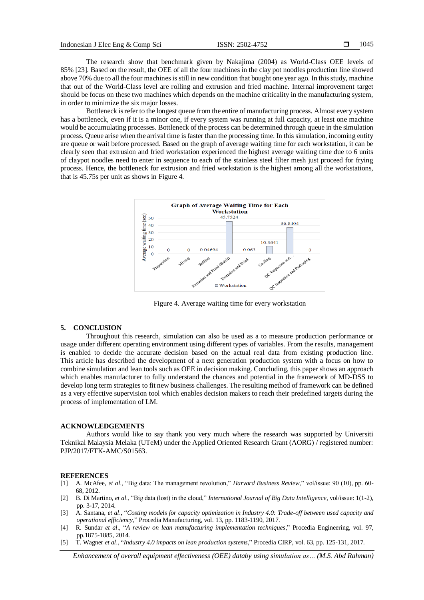The research show that benchmark given by Nakajima (2004) as World-Class OEE levels of 85% [23]. Based on the result, the OEE of all the four machines in the clay pot noodles production line showed above 70% due to all the four machines is still in new condition that bought one year ago. In this study, machine that out of the World-Class level are rolling and extrusion and fried machine. Internal improvement target should be focus on these two machines which depends on the machine criticality in the manufacturing system, in order to minimize the six major losses.

Bottleneck is refer to the longest queue from the entire of manufacturing process. Almost every system has a bottleneck, even if it is a minor one, if every system was running at full capacity, at least one machine would be accumulating processes. Bottleneck of the process can be determined through queue in the simulation process. Queue arise when the arrival time is faster than the processing time. In this simulation, incoming entity are queue or wait before processed. Based on the graph of average waiting time for each workstation, it can be clearly seen that extrusion and fried workstation experienced the highest average waiting time due to 6 units of claypot noodles need to enter in sequence to each of the stainless steel filter mesh just proceed for frying process. Hence, the bottleneck for extrusion and fried workstation is the highest among all the workstations, that is 45.75s per unit as shows in Figure 4.



Figure 4. Average waiting time for every workstation

#### **5. CONCLUSION**

Throughout this research, simulation can also be used as a to measure production performance or usage under different operating environment using different types of variables. From the results, management is enabled to decide the accurate decision based on the actual real data from existing production line. This article has described the development of a next generation production system with a focus on how to combine simulation and lean tools such as OEE in decision making. Concluding, this paper shows an approach which enables manufacturer to fully understand the chances and potential in the framework of MD-DSS to develop long term strategies to fit new business challenges. The resulting method of framework can be defined as a very effective supervision tool which enables decision makers to reach their predefined targets during the process of implementation of LM.

# **ACKNOWLEDGEMENTS**

Authors would like to say thank you very much where the research was supported by Universiti Teknikal Malaysia Melaka (UTeM) under the Applied Oriented Research Grant (AORG) / registered number: PJP/2017/FTK-AMC/S01563.

#### **REFERENCES**

- [1] A. McAfee, *et al*., "Big data: The management revolution," *Harvard Business Review*," vol/issue: 90 (10), pp. 60- 68, 2012.
- [2] B. Di Martino, *et al*., "Big data (lost) in the cloud," *International Journal of Big Data Intelligence*, vol/issue: 1(1-2), pp. 3-17, 2014.
- [3] A. Santana, *et al*., "*Costing models for capacity optimization in Industry 4.0: Trade-off between used capacity and operational efficiency*," Procedia Manufacturing, vol. 13, pp. 1183-1190, 2017.
- [4] R. Sundar *et al*., "*A review on lean manufacturing implementation techniques*," Procedia Engineering, vol. 97, pp.1875-1885, 2014.
- [5] T. Wagner *et al*., "*Industry 4.0 impacts on lean production systems*," Procedia CIRP, vol. 63, pp. 125-131, 2017.

*Enhancement of overall equipment effectiveness (OEE) databy using simulation as… (M.S. Abd Rahman)*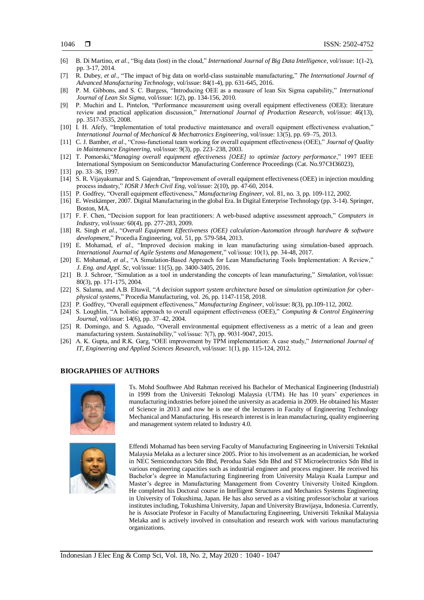- [6] B. Di Martino, *et al*., "Big data (lost) in the cloud," *International Journal of Big Data Intelligence*, vol/issue: 1(1-2), pp. 3-17, 2014.
- [7] R. Dubey, *et al*., "The impact of big data on world-class sustainable manufacturing," *The International Journal of Advanced Manufacturing Technology*, vol/issue: 84(1-4), pp. 631-645, 2016.
- [8] P. M. Gibbons, and S. C. Burgess, "Introducing OEE as a measure of lean Six Sigma capability," *International Journal of Lean Six Sigma*, vol/issue: 1(2), pp. 134-156, 2010.
- [9] P. Muchiri and L. Pintelon, "Performance measurement using overall equipment effectiveness (OEE): literature review and practical application discussion," *International Journal of Production Research*, vol/issue: 46(13), pp. 3517-3535, 2008.
- [10] I. H. Afefy, "Implementation of total productive maintenance and overall equipment effectiveness evaluation," *International Journal of Mechanical & Mechatronics Engineering*, vol/issue: 13(5), pp. 69–75, 2013.
- [11] C. J. Bamber, *et al*., "Cross-functional team working for overall equipment effectiveness (OEE)," *Journal of Quality in Maintenance Engineering*, vol/issue: 9(3), pp. 223–238, 2003.
- [12] T. Pomorski,"*Managing overall equipment effectiveness [OEE] to optimize factory performance*," 1997 IEEE International Symposium on Semiconductor Manufacturing Conference Proceedings (Cat. No.97CH36023),
- [13] pp. 33-36, 1997.
- [14] S. R. Vijayakumar and S. Gajendran, "Improvement of overall equipment effectiveness (OEE) in injection moulding process industry," *IOSR J Mech Civil Eng*, vol/issue: 2(10), pp. 47-60, 2014.
- [15] P. Godfrey, "Overall equipment effectiveness," *Manufacturing Engineer*, vol. 81, no. 3, pp. 109-112, 2002.
- [16] E. Westkämper, 2007. Digital Manufacturing in the global Era. In Digital Enterprise Technology (pp. 3-14). Springer, Boston, MA.
- [17] F. F. Chen, "Decision support for lean practitioners: A web-based adaptive assessment approach," *Computers in Industry*, vol/issue: 60(4), pp. 277-283, 2009.
- [18] R. Singh *et al*., "*Overall Equipment Effectiveness (OEE) calculation-Automation through hardware & software development*," Procedia Engineering, vol. 51, pp. 579-584, 2013.
- [19] E. Mohamad, *el al*., "Improved decision making in lean manufacturing using simulation-based approach. *International Journal of Agile Systems and Management*," vol/issue: 10(1), pp. 34-48, 2017.
- [20] E. Mohamad, *et al*., "A Simulation-Based Approach for Lean Manufacturing Tools Implementation: A Review," *J. Eng. and Appl. Sc*, vol/issue: 11(5), pp. 3400-3405, 2016.
- [21] B. J. Schroer, "Simulation as a tool in understanding the concepts of lean manufacturing," *Simulation*, vol/issue: 80(3), pp. 171-175, 2004.
- [22] S. Salama, and A.B. Eltawil, "*A decision support system architecture based on simulation optimization for cyberphysical systems*," Procedia Manufacturing, vol. 26, pp. 1147-1158, 2018.
- [23] P. Godfrey, "Overall equipment effectiveness," *Manufacturing Engineer*, vol/issue: 8(3), pp.109-112, 2002.
- [24] S. Loughlin, "A holistic approach to overall equipment effectiveness (OEE)," *Computing & Control Engineering Journal*, vol/issue: 14(6), pp. 37–42, 2004.
- [25] R. Domingo, and S. Aguado, "Overall environmental equipment effectiveness as a metric of a lean and green manufacturing system. *Sustainability*," vol/issue: 7(7), pp. 9031-9047, 2015.
- [26] A. K. Gupta, and R.K. Garg, "OEE improvement by TPM implementation: A case study," *International Journal of IT, Engineering and Applied Sciences Research*, vol/issue: 1(1), pp. 115-124, 2012.

## **BIOGRAPHIES OF AUTHORS**



Ts. Mohd Soufhwee Abd Rahman received his Bachelor of Mechanical Engineering (Industrial) in 1999 from the Universiti Teknologi Malaysia (UTM). He has 10 years' experiences in manufacturing industries before joined the university as academia in 2009. He obtained his Master of Science in 2013 and now he is one of the lecturers in Faculty of Engineering Technology Mechanical and Manufacturing. His research interest is in lean manufacturing, quality engineering and management system related to Industry 4.0.



Effendi Mohamad has been serving Faculty of Manufacturing Engineering in Universiti Teknikal Malaysia Melaka as a lecturer since 2005. Prior to his involvement as an academician, he worked in NEC Semiconductors Sdn Bhd, Perodua Sales Sdn Bhd and ST Microelectronics Sdn Bhd in various engineering capacities such as industrial engineer and process engineer. He received his Bachelor's degree in Manufacturing Engineering from University Malaya Kuala Lumpur and Master's degree in Manufacturing Management from Coventry University United Kingdom. He completed his Doctoral course in Intelligent Structures and Mechanics Systems Engineering in University of Tokushima, Japan. He has also served as a visiting professor/scholar at various institutes including, Tokushima University, Japan and University Brawijaya, Indonesia. Currently, he is Associate Profesor in Faculty of Manufacturing Engineering, Universiti Teknikal Malaysia Melaka and is actively involved in consultation and research work with various manufacturing organizations.